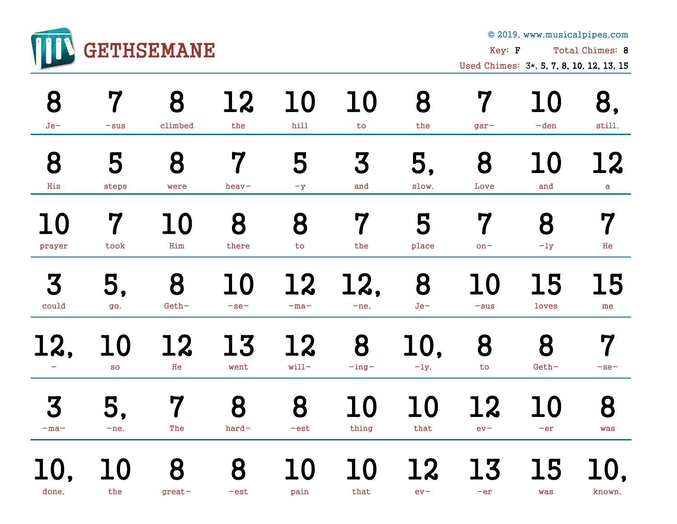

© 2019, www.musicalpipes.com

Key: **F** Total Chimes: 8

Used Chimes: 3\*, 5, 7, 8, 10, 12, 13, 15

| 8      | 7                        | 8             | 12          | 10            | 10          | 8           | 7                  | 10        | 8,         |
|--------|--------------------------|---------------|-------------|---------------|-------------|-------------|--------------------|-----------|------------|
| $Je-$  | $-sus$                   | climbed       | the         | hill          | to          | the         | $gar-$             | $-den$    | still,     |
| 8      | 5                        | 8             | 7           | 5             | 3           | 5,          | 8                  | 10        | 12         |
| His    | steps                    | were          | $heav-$     | $-\mathbf{y}$ | and         | slow.       | Love               | and       | a          |
| 10     | 7                        | 10            | 8           | 8             | 7           | 5           | 7                  | 8         | 7          |
| prayer | took                     | Him           | there       | to            | the         | place       | $on-$              | $-1y$     | He         |
| 3      | 5,                       | 8             | 10          | 12            | 12,         | 8           | $\bullet$          | 15        | <b>15</b>  |
| could  | go.                      | $Geth-$       | $-$ se $-$  | $-ma-$        | $-ne,$      | $Je-$       | $-sus$             | loves     | me         |
| 12,    | $\mathbf{I}(\mathbf{I})$ | <b>12</b>     | 13          | 12            | 8           | <b>10</b>   | 8                  | 8         | 7          |
|        | <b>SO</b>                | He            | went        | $will$ -      | $-$ ing $-$ | $-1y,$      | to                 | $Geth-$   | $-$ se $-$ |
| 3      | 5,                       | 7             | 8           | 8             | 10          | 10          | <b>12</b>          | 10        | 8          |
| $-ma-$ | $-ne.$                   | The           | $hard-$     | $-est$        | thing       | that        | $ev-$              | $-er$     | was        |
| done,  | $\mid$ ()<br>the         | 8<br>$great-$ | 8<br>$-est$ | 10<br>pain    | 10<br>that  | 12<br>$ev-$ | <b>13</b><br>$-er$ | 15<br>was | known,     |